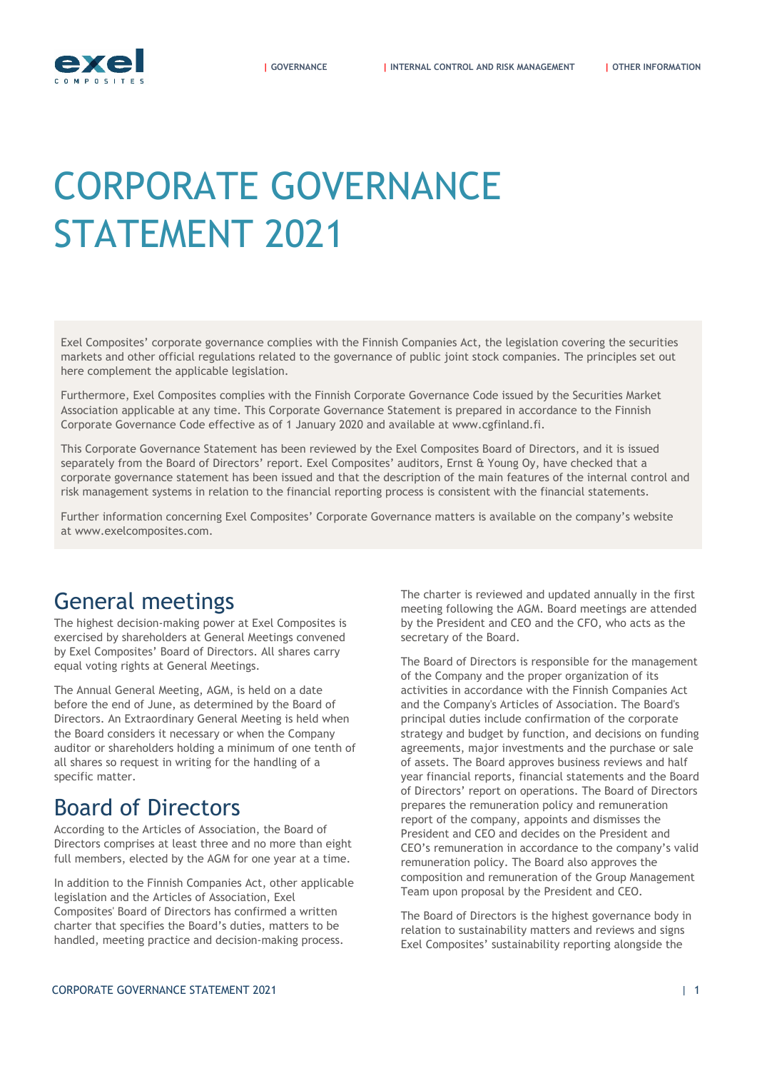# CORPORATE GOVERNANCE STATEMENT 2021

Exel Composites' corporate governance complies with the Finnish Companies Act, the legislation covering the securities markets and other official regulations related to the governance of public joint stock companies. The principles set out here complement the applicable legislation.

Furthermore, Exel Composites complies with the Finnish Corporate Governance Code issued by the Securities Market Association applicable at any time. This Corporate Governance Statement is prepared in accordance to the Finnish Corporate Governance Code effective as of 1 January 2020 and available at www.cgfinland.fi.

This Corporate Governance Statement has been reviewed by the Exel Composites Board of Directors, and it is issued separately from the Board of Directors' report. Exel Composites' auditors, Ernst & Young Oy, have checked that a corporate governance statement has been issued and that the description of the main features of the internal control and risk management systems in relation to the financial reporting process is consistent with the financial statements.

Further information concerning Exel Composites' Corporate Governance matters is available on the company's website at [www.exelcomposites.com](http://www.exelcomposites.com/).

# General meetings

<span id="page-0-0"></span>The highest decision-making power at Exel Composites is exercised by shareholders at General Meetings convened by Exel Composites' Board of Directors. All shares carry equal voting rights at General Meetings.

The Annual General Meeting, AGM, is held on a date before the end of June, as determined by the Board of Directors. An Extraordinary General Meeting is held when the Board considers it necessary or when the Company auditor or shareholders holding a minimum of one tenth of all shares so request in writing for the handling of a specific matter.

# Board of Directors

According to the Articles of Association, the Board of Directors comprises at least three and no more than eight full members, elected by the AGM for one year at a time.

In addition to the Finnish Companies Act, other applicable legislation and the Articles of Association, Exel Composites' Board of Directors has confirmed a written charter that specifies the Board's duties, matters to be handled, meeting practice and decision-making process.

The charter is reviewed and updated annually in the first meeting following the AGM. Board meetings are attended by the President and CEO and the CFO, who acts as the secretary of the Board.

The Board of Directors is responsible for the management of the Company and the proper organization of its activities in accordance with the Finnish Companies Act and the Company's Articles of Association. The Board's principal duties include confirmation of the corporate strategy and budget by function, and decisions on funding agreements, major investments and the purchase or sale of assets. The Board approves business reviews and half year financial reports, financial statements and the Board of Directors' report on operations. The Board of Directors prepares the remuneration policy and remuneration report of the company, appoints and dismisses the President and CEO and decides on the President and CEO's remuneration in accordance to the company's valid remuneration policy. The Board also approves the composition and remuneration of the Group Management Team upon proposal by the President and CEO.

The Board of Directors is the highest governance body in relation to sustainability matters and reviews and signs Exel Composites' sustainability reporting alongside the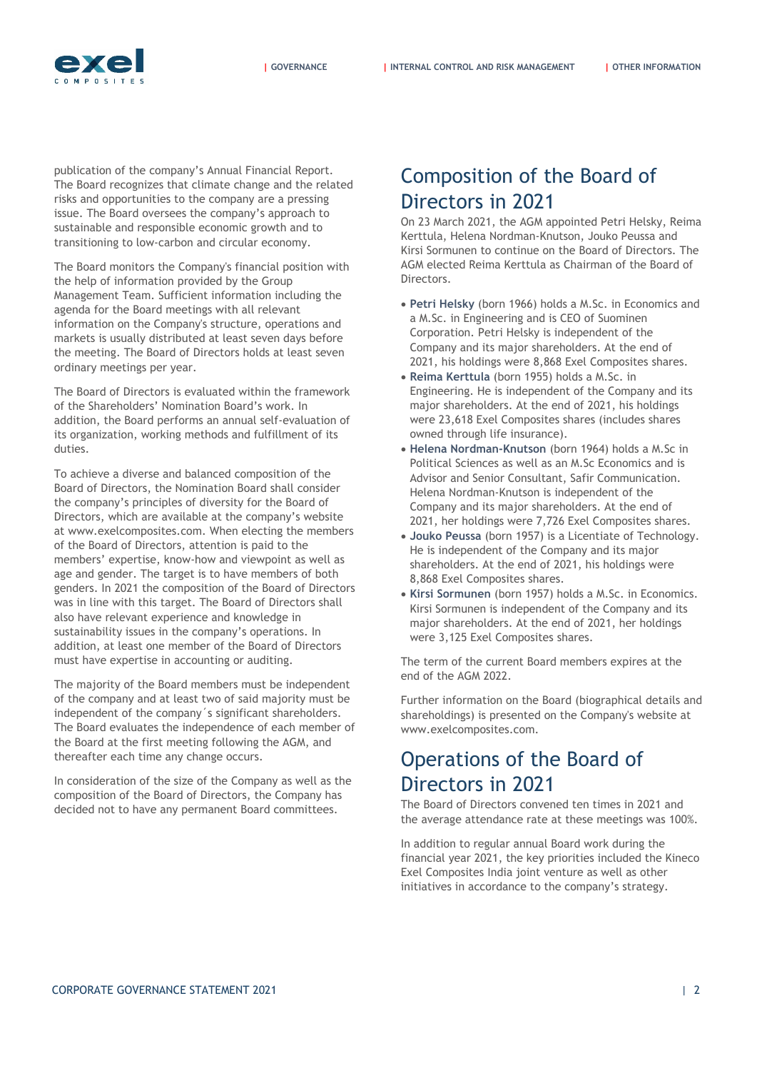

**| [GOVERNANCE](#page-0-0) | [INTERNAL CONTROL AND RISK MANAGEMENT](#page-4-0) | [OTHER INFORMATION](#page-8-0)**

publication of the company's Annual Financial Report. The Board recognizes that climate change and the related risks and opportunities to the company are a pressing issue. The Board oversees the company's approach to sustainable and responsible economic growth and to transitioning to low-carbon and circular economy.

**EXC** 

The Board monitors the Company's financial position with the help of information provided by the Group Management Team. Sufficient information including the agenda for the Board meetings with all relevant information on the Company's structure, operations and markets is usually distributed at least seven days before the meeting. The Board of Directors holds at least seven ordinary meetings per year.

The Board of Directors is evaluated within the framework of the Shareholders' Nomination Board's work. In addition, the Board performs an annual self-evaluation of its organization, working methods and fulfillment of its duties.

To achieve a diverse and balanced composition of the Board of Directors, the Nomination Board shall consider the company's principles of diversity for the Board of Directors, which are available at the company's website at www.exelcomposites.com. When electing the members of the Board of Directors, attention is paid to the members' expertise, know-how and viewpoint as well as age and gender. The target is to have members of both genders. In 2021 the composition of the Board of Directors was in line with this target. The Board of Directors shall also have relevant experience and knowledge in sustainability issues in the company's operations. In addition, at least one member of the Board of Directors must have expertise in accounting or auditing.

The majority of the Board members must be independent of the company and at least two of said majority must be independent of the company´s significant shareholders. The Board evaluates the independence of each member of the Board at the first meeting following the AGM, and thereafter each time any change occurs.

In consideration of the size of the Company as well as the composition of the Board of Directors, the Company has decided not to have any permanent Board committees.

# Composition of the Board of Directors in 2021

On 23 March 2021, the AGM appointed Petri Helsky, Reima Kerttula, Helena Nordman-Knutson, Jouko Peussa and Kirsi Sormunen to continue on the Board of Directors. The AGM elected Reima Kerttula as Chairman of the Board of Directors.

- **Petri Helsky** (born 1966) holds a M.Sc. in Economics and a M.Sc. in Engineering and is CEO of Suominen Corporation. Petri Helsky is independent of the Company and its major shareholders. At the end of 2021, his holdings were 8,868 Exel Composites shares.
- **Reima Kerttula** (born 1955) holds a M.Sc. in Engineering. He is independent of the Company and its major shareholders. At the end of 2021, his holdings were 23,618 Exel Composites shares (includes shares owned through life insurance).
- **Helena Nordman-Knutson** (born 1964) holds a M.Sc in Political Sciences as well as an M.Sc Economics and is Advisor and Senior Consultant, Safir Communication. Helena Nordman-Knutson is independent of the Company and its major shareholders. At the end of 2021, her holdings were 7,726 Exel Composites shares.
- **Jouko Peussa** (born 1957) is a Licentiate of Technology. He is independent of the Company and its major shareholders. At the end of 2021, his holdings were 8,868 Exel Composites shares.
- **Kirsi Sormunen** (born 1957) holds a M.Sc. in Economics. Kirsi Sormunen is independent of the Company and its major shareholders. At the end of 2021, her holdings were 3,125 Exel Composites shares.

The term of the current Board members expires at the end of the AGM 2022.

Further information on the Board (biographical details and shareholdings) is presented on the Company's website at www.exelcomposites.com.

# Operations of the Board of Directors in 2021

The Board of Directors convened ten times in 2021 and the average attendance rate at these meetings was 100%.

In addition to regular annual Board work during the financial year 2021, the key priorities included the Kineco Exel Composites India joint venture as well as other initiatives in accordance to the company's strategy.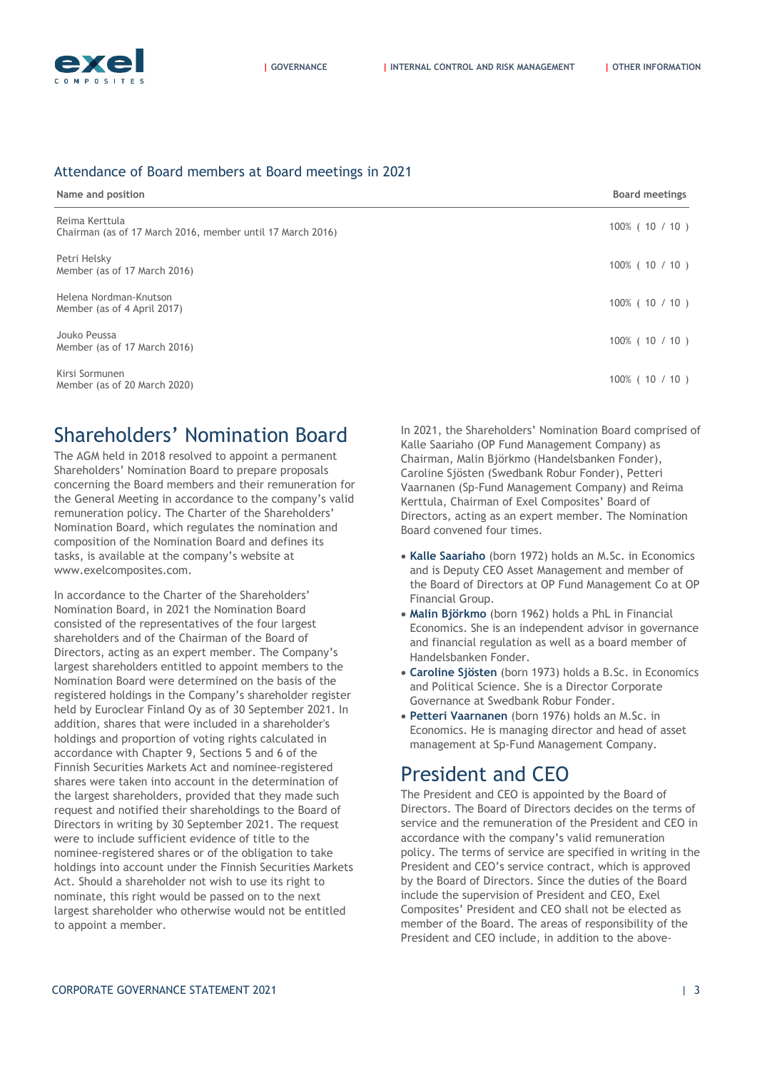

#### Attendance of Board members at Board meetings in 2021

| Name and position                                                            | <b>Board meetings</b> |
|------------------------------------------------------------------------------|-----------------------|
| Reima Kerttula<br>Chairman (as of 17 March 2016, member until 17 March 2016) | $100\%$ ( 10 / 10 )   |
| Petri Helsky<br>Member (as of 17 March 2016)                                 | $100\%$ ( 10 / 10 )   |
| Helena Nordman-Knutson<br>Member (as of 4 April 2017)                        | $100\%$ ( 10 / 10 )   |
| Jouko Peussa<br>Member (as of 17 March 2016)                                 | $100\%$ ( 10 / 10 )   |
| Kirsi Sormunen<br>Member (as of 20 March 2020)                               | $100\%$ ( 10 / 10 )   |

### Shareholders' Nomination Board

The AGM held in 2018 resolved to appoint a permanent Shareholders' Nomination Board to prepare proposals concerning the Board members and their remuneration for the General Meeting in accordance to the company's valid remuneration policy. The Charter of the Shareholders' Nomination Board, which regulates the nomination and composition of the Nomination Board and defines its tasks, is available at the company's website at www.exelcomposites.com.

In accordance to the Charter of the Shareholders' Nomination Board, in 2021 the Nomination Board consisted of the representatives of the four largest shareholders and of the Chairman of the Board of Directors, acting as an expert member. The Company's largest shareholders entitled to appoint members to the Nomination Board were determined on the basis of the registered holdings in the Company's shareholder register held by Euroclear Finland Oy as of 30 September 2021. In addition, shares that were included in a shareholder's holdings and proportion of voting rights calculated in accordance with Chapter 9, Sections 5 and 6 of the Finnish Securities Markets Act and nominee-registered shares were taken into account in the determination of the largest shareholders, provided that they made such request and notified their shareholdings to the Board of Directors in writing by 30 September 2021. The request were to include sufficient evidence of title to the nominee-registered shares or of the obligation to take holdings into account under the Finnish Securities Markets Act. Should a shareholder not wish to use its right to nominate, this right would be passed on to the next largest shareholder who otherwise would not be entitled to appoint a member.

In 2021, the Shareholders' Nomination Board comprised of Kalle Saariaho (OP Fund Management Company) as Chairman, Malin Björkmo (Handelsbanken Fonder), Caroline Sjösten (Swedbank Robur Fonder), Petteri Vaarnanen (Sp-Fund Management Company) and Reima Kerttula, Chairman of Exel Composites' Board of Directors, acting as an expert member. The Nomination Board convened four times.

- **Kalle Saariaho** (born 1972) holds an M.Sc. in Economics and is Deputy CEO Asset Management and member of the Board of Directors at OP Fund Management Co at OP Financial Group.
- **Malin Björkmo** (born 1962) holds a PhL in Financial Economics. She is an independent advisor in governance and financial regulation as well as a board member of Handelsbanken Fonder.
- **Caroline Sjösten** (born 1973) holds a B.Sc. in Economics and Political Science. She is a Director Corporate Governance at Swedbank Robur Fonder.
- **Petteri Vaarnanen** (born 1976) holds an M.Sc. in Economics. He is managing director and head of asset management at Sp-Fund Management Company.

## President and CEO

The President and CEO is appointed by the Board of Directors. The Board of Directors decides on the terms of service and the remuneration of the President and CEO in accordance with the company's valid remuneration policy. The terms of service are specified in writing in the President and CEO's service contract, which is approved by the Board of Directors. Since the duties of the Board include the supervision of President and CEO, Exel Composites' President and CEO shall not be elected as member of the Board. The areas of responsibility of the President and CEO include, in addition to the above-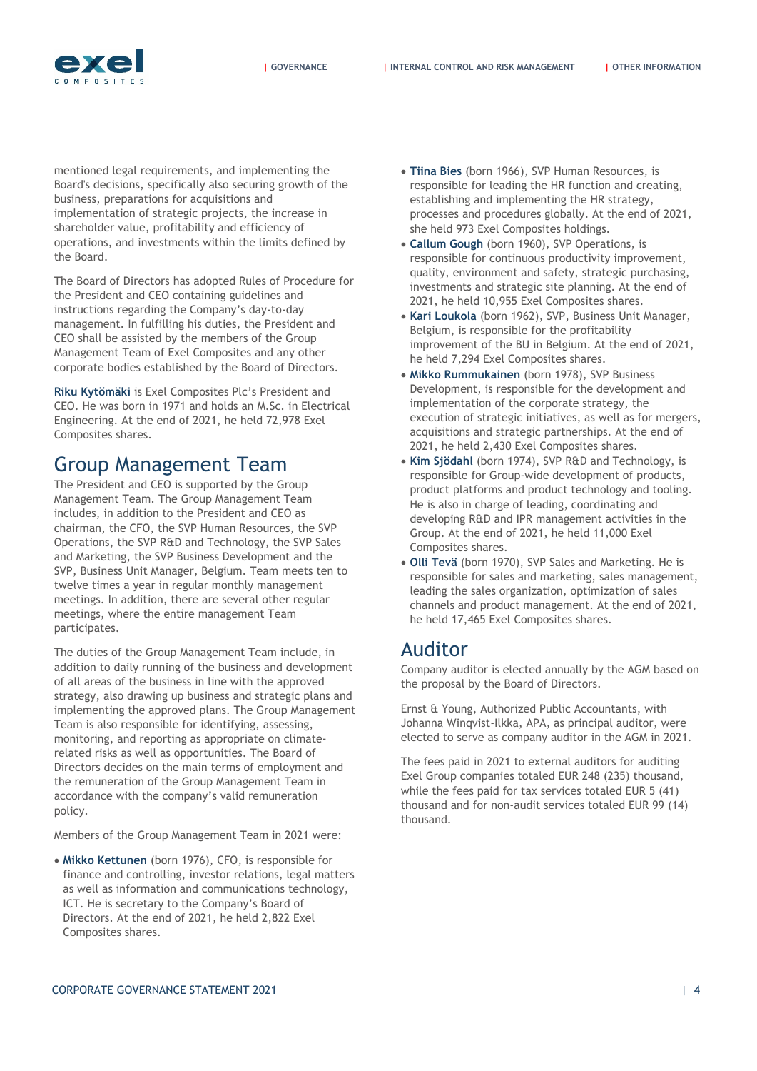

mentioned legal requirements, and implementing the Board's decisions, specifically also securing growth of the business, preparations for acquisitions and implementation of strategic projects, the increase in shareholder value, profitability and efficiency of operations, and investments within the limits defined by the Board.

The Board of Directors has adopted Rules of Procedure for the President and CEO containing guidelines and instructions regarding the Company's day-to-day management. In fulfilling his duties, the President and CEO shall be assisted by the members of the Group Management Team of Exel Composites and any other corporate bodies established by the Board of Directors.

**Riku Kytömäki** is Exel Composites Plc's President and CEO. He was born in 1971 and holds an M.Sc. in Electrical Engineering. At the end of 2021, he held 72,978 Exel Composites shares.

### Group Management Team

The President and CEO is supported by the Group Management Team. The Group Management Team includes, in addition to the President and CEO as chairman, the CFO, the SVP Human Resources, the SVP Operations, the SVP R&D and Technology, the SVP Sales and Marketing, the SVP Business Development and the SVP, Business Unit Manager, Belgium. Team meets ten to twelve times a year in regular monthly management meetings. In addition, there are several other regular meetings, where the entire management Team participates.

The duties of the Group Management Team include, in addition to daily running of the business and development of all areas of the business in line with the approved strategy, also drawing up business and strategic plans and implementing the approved plans. The Group Management Team is also responsible for identifying, assessing, monitoring, and reporting as appropriate on climaterelated risks as well as opportunities. The Board of Directors decides on the main terms of employment and the remuneration of the Group Management Team in accordance with the company's valid remuneration policy.

Members of the Group Management Team in 2021 were:

 **Mikko Kettunen** (born 1976), CFO, is responsible for finance and controlling, investor relations, legal matters as well as information and communications technology, ICT. He is secretary to the Company's Board of Directors. At the end of 2021, he held 2,822 Exel Composites shares.

- **Tiina Bies** (born 1966), SVP Human Resources, is responsible for leading the HR function and creating, establishing and implementing the HR strategy, processes and procedures globally. At the end of 2021, she held 973 Exel Composites holdings.
- **Callum Gough** (born 1960), SVP Operations, is responsible for continuous productivity improvement, quality, environment and safety, strategic purchasing, investments and strategic site planning. At the end of 2021, he held 10,955 Exel Composites shares.
- **Kari Loukola** (born 1962), SVP, Business Unit Manager, Belgium, is responsible for the profitability improvement of the BU in Belgium. At the end of 2021, he held 7,294 Exel Composites shares.
- **Mikko Rummukainen** (born 1978), SVP Business Development, is responsible for the development and implementation of the corporate strategy, the execution of strategic initiatives, as well as for mergers, acquisitions and strategic partnerships. At the end of 2021, he held 2,430 Exel Composites shares.
- **Kim Sjödahl** (born 1974), SVP R&D and Technology, is responsible for Group-wide development of products, product platforms and product technology and tooling. He is also in charge of leading, coordinating and developing R&D and IPR management activities in the Group. At the end of 2021, he held 11,000 Exel Composites shares.
- **Olli Tevä** (born 1970), SVP Sales and Marketing. He is responsible for sales and marketing, sales management, leading the sales organization, optimization of sales channels and product management. At the end of 2021, he held 17,465 Exel Composites shares.

### Auditor

Company auditor is elected annually by the AGM based on the proposal by the Board of Directors.

Ernst & Young, Authorized Public Accountants, with Johanna Winqvist-Ilkka, APA, as principal auditor, were elected to serve as company auditor in the AGM in 2021.

The fees paid in 2021 to external auditors for auditing Exel Group companies totaled EUR 248 (235) thousand, while the fees paid for tax services totaled EUR 5 (41) thousand and for non-audit services totaled EUR 99 (14) thousand.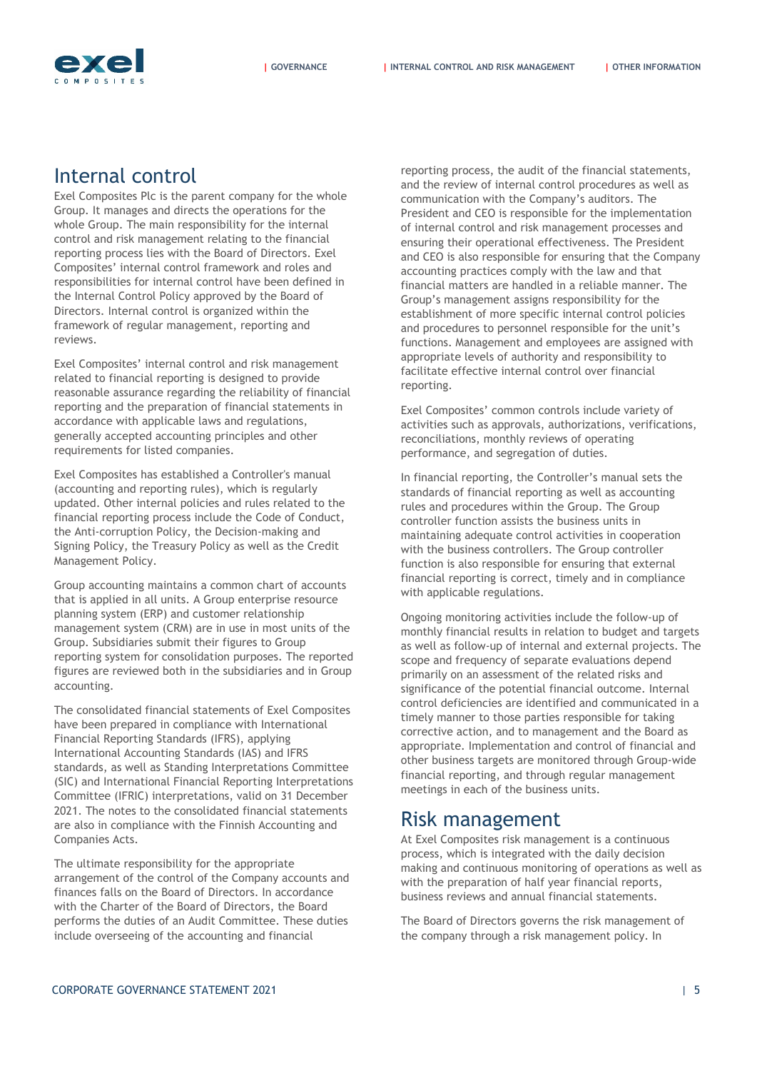

### Internal control

<span id="page-4-0"></span>Exel Composites Plc is the parent company for the whole Group. It manages and directs the operations for the whole Group. The main responsibility for the internal control and risk management relating to the financial reporting process lies with the Board of Directors. Exel Composites' internal control framework and roles and responsibilities for internal control have been defined in the Internal Control Policy approved by the Board of Directors. Internal control is organized within the framework of regular management, reporting and reviews.

Exel Composites' internal control and risk management related to financial reporting is designed to provide reasonable assurance regarding the reliability of financial reporting and the preparation of financial statements in accordance with applicable laws and regulations, generally accepted accounting principles and other requirements for listed companies.

Exel Composites has established a Controller's manual (accounting and reporting rules), which is regularly updated. Other internal policies and rules related to the financial reporting process include the Code of Conduct, the Anti-corruption Policy, the Decision-making and Signing Policy, the Treasury Policy as well as the Credit Management Policy.

Group accounting maintains a common chart of accounts that is applied in all units. A Group enterprise resource planning system (ERP) and customer relationship management system (CRM) are in use in most units of the Group. Subsidiaries submit their figures to Group reporting system for consolidation purposes. The reported figures are reviewed both in the subsidiaries and in Group accounting.

The consolidated financial statements of Exel Composites have been prepared in compliance with International Financial Reporting Standards (IFRS), applying International Accounting Standards (IAS) and IFRS standards, as well as Standing Interpretations Committee (SIC) and International Financial Reporting Interpretations Committee (IFRIC) interpretations, valid on 31 December 2021. The notes to the consolidated financial statements are also in compliance with the Finnish Accounting and Companies Acts.

The ultimate responsibility for the appropriate arrangement of the control of the Company accounts and finances falls on the Board of Directors. In accordance with the Charter of the Board of Directors, the Board performs the duties of an Audit Committee. These duties include overseeing of the accounting and financial

reporting process, the audit of the financial statements, and the review of internal control procedures as well as communication with the Company's auditors. The President and CEO is responsible for the implementation of internal control and risk management processes and ensuring their operational effectiveness. The President and CEO is also responsible for ensuring that the Company accounting practices comply with the law and that financial matters are handled in a reliable manner. The Group's management assigns responsibility for the establishment of more specific internal control policies and procedures to personnel responsible for the unit's functions. Management and employees are assigned with appropriate levels of authority and responsibility to facilitate effective internal control over financial reporting.

Exel Composites' common controls include variety of activities such as approvals, authorizations, verifications, reconciliations, monthly reviews of operating performance, and segregation of duties.

In financial reporting, the Controller's manual sets the standards of financial reporting as well as accounting rules and procedures within the Group. The Group controller function assists the business units in maintaining adequate control activities in cooperation with the business controllers. The Group controller function is also responsible for ensuring that external financial reporting is correct, timely and in compliance with applicable regulations.

Ongoing monitoring activities include the follow-up of monthly financial results in relation to budget and targets as well as follow-up of internal and external projects. The scope and frequency of separate evaluations depend primarily on an assessment of the related risks and significance of the potential financial outcome. Internal control deficiencies are identified and communicated in a timely manner to those parties responsible for taking corrective action, and to management and the Board as appropriate. Implementation and control of financial and other business targets are monitored through Group-wide financial reporting, and through regular management meetings in each of the business units.

### Risk management

At Exel Composites risk management is a continuous process, which is integrated with the daily decision making and continuous monitoring of operations as well as with the preparation of half year financial reports, business reviews and annual financial statements.

The Board of Directors governs the risk management of the company through a risk management policy. In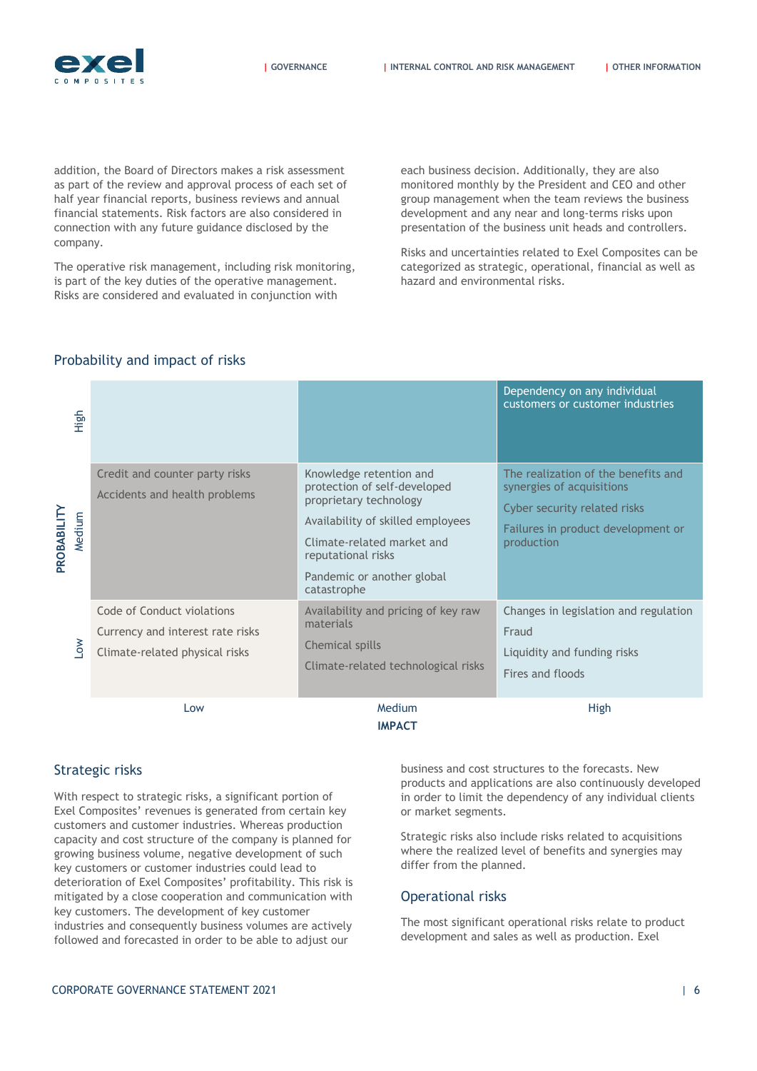

**| [GOVERNANCE](#page-0-0) | [INTERNAL CONTROL AND RISK MANAGEMENT](#page-4-0) | [OTHER INFORMATION](#page-8-0)**

addition, the Board of Directors makes a risk assessment as part of the review and approval process of each set of half year financial reports, business reviews and annual financial statements. Risk factors are also considered in connection with any future guidance disclosed by the company.

The operative risk management, including risk monitoring, is part of the key duties of the operative management. Risks are considered and evaluated in conjunction with

each business decision. Additionally, they are also monitored monthly by the President and CEO and other group management when the team reviews the business development and any near and long-terms risks upon presentation of the business unit heads and controllers.

Risks and uncertainties related to Exel Composites can be categorized as strategic, operational, financial as well as hazard and environmental risks.

| PROBABILITY<br>Medium<br>$\sum_{i=1}^{n}$ | High |                                                                                                  |                                                                                                                                                                                                                         | Dependency on any individual<br>customers or customer industries                                                                                     |
|-------------------------------------------|------|--------------------------------------------------------------------------------------------------|-------------------------------------------------------------------------------------------------------------------------------------------------------------------------------------------------------------------------|------------------------------------------------------------------------------------------------------------------------------------------------------|
|                                           |      | Credit and counter party risks<br>Accidents and health problems                                  | Knowledge retention and<br>protection of self-developed<br>proprietary technology<br>Availability of skilled employees<br>Climate-related market and<br>reputational risks<br>Pandemic or another global<br>catastrophe | The realization of the benefits and<br>synergies of acquisitions<br>Cyber security related risks<br>Failures in product development or<br>production |
|                                           |      | Code of Conduct violations<br>Currency and interest rate risks<br>Climate-related physical risks | Availability and pricing of key raw<br>materials<br><b>Chemical spills</b><br>Climate-related technological risks                                                                                                       | Changes in legislation and regulation<br>Fraud<br>Liquidity and funding risks<br>Fires and floods                                                    |
|                                           |      | Low                                                                                              | Medium<br><b>IMPACT</b>                                                                                                                                                                                                 | High                                                                                                                                                 |

#### Probability and impact of risks

#### Strategic risks

With respect to strategic risks, a significant portion of Exel Composites' revenues is generated from certain key customers and customer industries. Whereas production capacity and cost structure of the company is planned for growing business volume, negative development of such key customers or customer industries could lead to deterioration of Exel Composites' profitability. This risk is mitigated by a close cooperation and communication with key customers. The development of key customer industries and consequently business volumes are actively followed and forecasted in order to be able to adjust our

business and cost structures to the forecasts. New products and applications are also continuously developed in order to limit the dependency of any individual clients or market segments.

Strategic risks also include risks related to acquisitions where the realized level of benefits and synergies may differ from the planned.

#### Operational risks

The most significant operational risks relate to product development and sales as well as production. Exel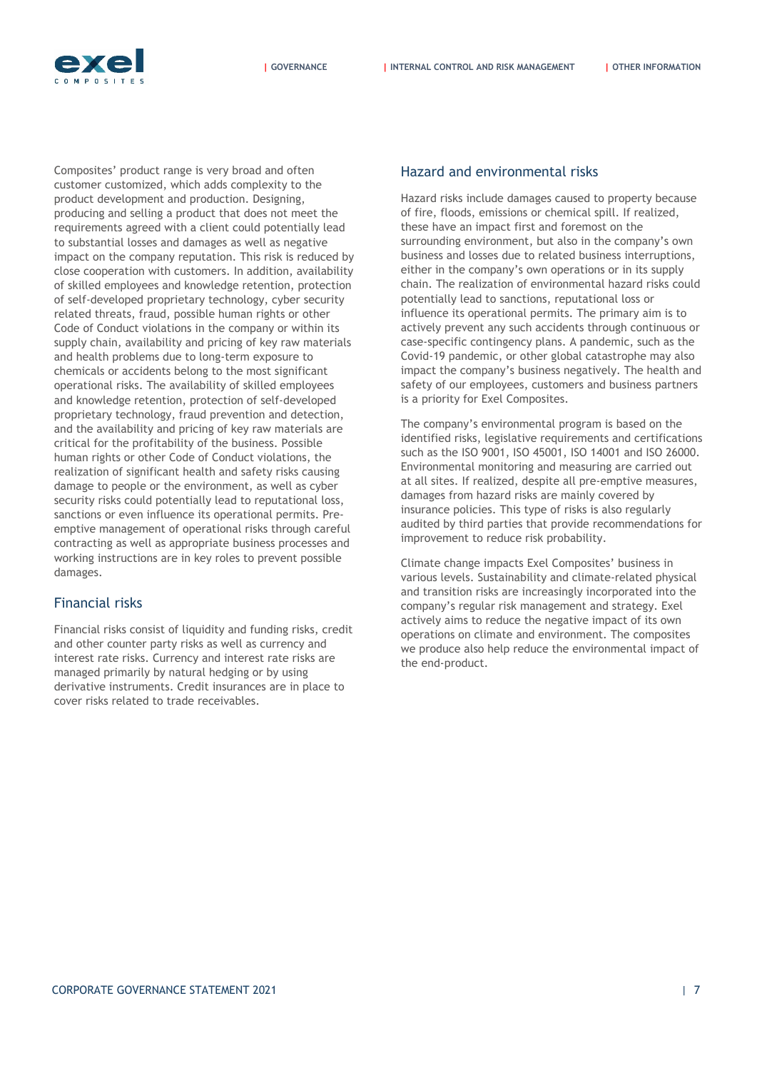

Composites' product range is very broad and often customer customized, which adds complexity to the product development and production. Designing, producing and selling a product that does not meet the requirements agreed with a client could potentially lead to substantial losses and damages as well as negative impact on the company reputation. This risk is reduced by close cooperation with customers. In addition, availability of skilled employees and knowledge retention, protection of self-developed proprietary technology, cyber security related threats, fraud, possible human rights or other Code of Conduct violations in the company or within its supply chain, availability and pricing of key raw materials and health problems due to long-term exposure to chemicals or accidents belong to the most significant operational risks. The availability of skilled employees and knowledge retention, protection of self-developed proprietary technology, fraud prevention and detection, and the availability and pricing of key raw materials are critical for the profitability of the business. Possible human rights or other Code of Conduct violations, the realization of significant health and safety risks causing damage to people or the environment, as well as cyber security risks could potentially lead to reputational loss, sanctions or even influence its operational permits. Preemptive management of operational risks through careful contracting as well as appropriate business processes and working instructions are in key roles to prevent possible damages.

#### Financial risks

Financial risks consist of liquidity and funding risks, credit and other counter party risks as well as currency and interest rate risks. Currency and interest rate risks are managed primarily by natural hedging or by using derivative instruments. Credit insurances are in place to cover risks related to trade receivables.

#### Hazard and environmental risks

Hazard risks include damages caused to property because of fire, floods, emissions or chemical spill. If realized, these have an impact first and foremost on the surrounding environment, but also in the company's own business and losses due to related business interruptions, either in the company's own operations or in its supply chain. The realization of environmental hazard risks could potentially lead to sanctions, reputational loss or influence its operational permits. The primary aim is to actively prevent any such accidents through continuous or case-specific contingency plans. A pandemic, such as the Covid-19 pandemic, or other global catastrophe may also impact the company's business negatively. The health and safety of our employees, customers and business partners is a priority for Exel Composites.

The company's environmental program is based on the identified risks, legislative requirements and certifications such as the ISO 9001, ISO 45001, ISO 14001 and ISO 26000. Environmental monitoring and measuring are carried out at all sites. If realized, despite all pre-emptive measures, damages from hazard risks are mainly covered by insurance policies. This type of risks is also regularly audited by third parties that provide recommendations for improvement to reduce risk probability.

Climate change impacts Exel Composites' business in various levels. Sustainability and climate-related physical and transition risks are increasingly incorporated into the company's regular risk management and strategy. Exel actively aims to reduce the negative impact of its own operations on climate and environment. The composites we produce also help reduce the environmental impact of the end-product.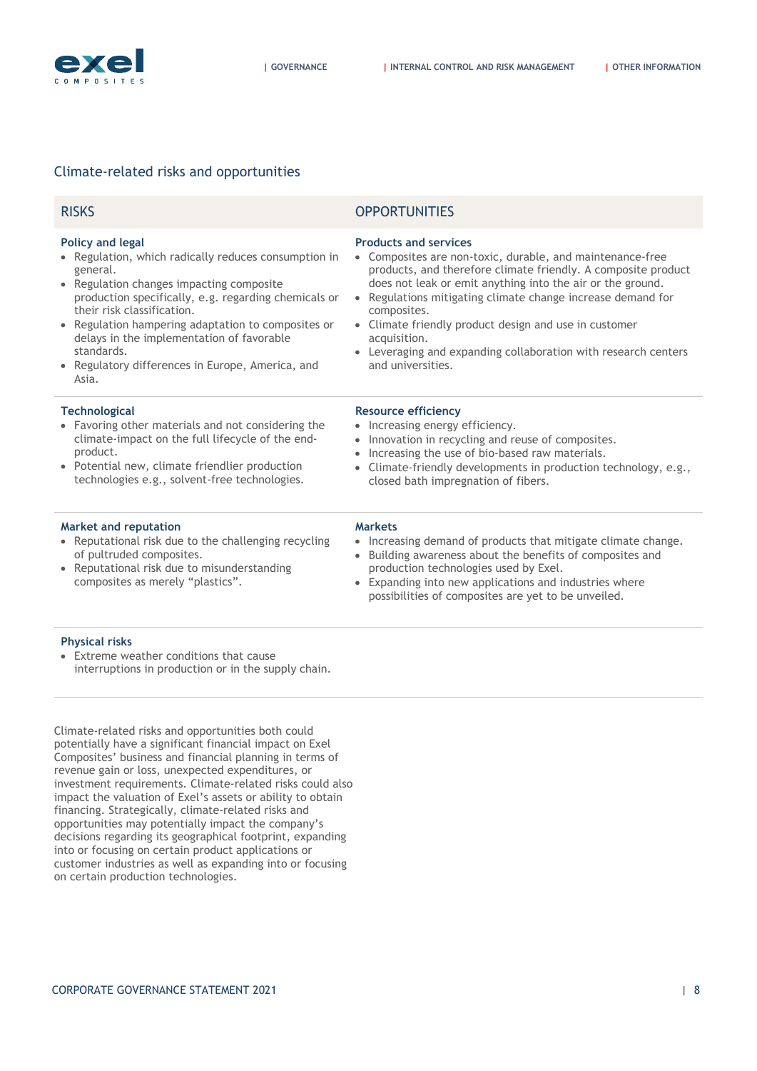

#### Climate-related risks and opportunities

| <b>RISKS</b>                                                                                                                                                                                                                                                                                                                                                                                              | <b>OPPORTUNITIES</b>                                                                                                                                                                                                                                                                                                                                                                                                                                                                         |
|-----------------------------------------------------------------------------------------------------------------------------------------------------------------------------------------------------------------------------------------------------------------------------------------------------------------------------------------------------------------------------------------------------------|----------------------------------------------------------------------------------------------------------------------------------------------------------------------------------------------------------------------------------------------------------------------------------------------------------------------------------------------------------------------------------------------------------------------------------------------------------------------------------------------|
| <b>Policy and legal</b><br>• Regulation, which radically reduces consumption in<br>general.<br>Regulation changes impacting composite<br>production specifically, e.g. regarding chemicals or<br>their risk classification.<br>• Regulation hampering adaptation to composites or<br>delays in the implementation of favorable<br>standards.<br>• Regulatory differences in Europe, America, and<br>Asia. | <b>Products and services</b><br>Composites are non-toxic, durable, and maintenance-free<br>$\bullet$<br>products, and therefore climate friendly. A composite product<br>does not leak or emit anything into the air or the ground.<br>Regulations mitigating climate change increase demand for<br>$\bullet$<br>composites.<br>• Climate friendly product design and use in customer<br>acquisition.<br>• Leveraging and expanding collaboration with research centers<br>and universities. |
| <b>Technological</b><br>• Favoring other materials and not considering the<br>climate-impact on the full lifecycle of the end-<br>product.<br>• Potential new, climate friendlier production<br>technologies e.g., solvent-free technologies.                                                                                                                                                             | <b>Resource efficiency</b><br>Increasing energy efficiency.<br>Innovation in recycling and reuse of composites.<br>Increasing the use of bio-based raw materials.<br>$\bullet$<br>Climate-friendly developments in production technology, e.g.,<br>closed bath impregnation of fibers.                                                                                                                                                                                                       |
| <b>Market and reputation</b><br>• Reputational risk due to the challenging recycling<br>of pultruded composites.<br>Reputational risk due to misunderstanding<br>composites as merely "plastics".                                                                                                                                                                                                         | <b>Markets</b><br>Increasing demand of products that mitigate climate change.<br>$\bullet$<br>Building awareness about the benefits of composites and<br>$\bullet$<br>production technologies used by Exel.<br>Expanding into new applications and industries where<br>$\bullet$<br>possibilities of composites are yet to be unveiled.                                                                                                                                                      |

#### **Physical risks**

 Extreme weather conditions that cause interruptions in production or in the supply chain.

Climate-related risks and opportunities both could potentially have a significant financial impact on Exel Composites' business and financial planning in terms of revenue gain or loss, unexpected expenditures, or investment requirements. Climate-related risks could also impact the valuation of Exel's assets or ability to obtain financing. Strategically, climate-related risks and opportunities may potentially impact the company's decisions regarding its geographical footprint, expanding into or focusing on certain product applications or customer industries as well as expanding into or focusing on certain production technologies.